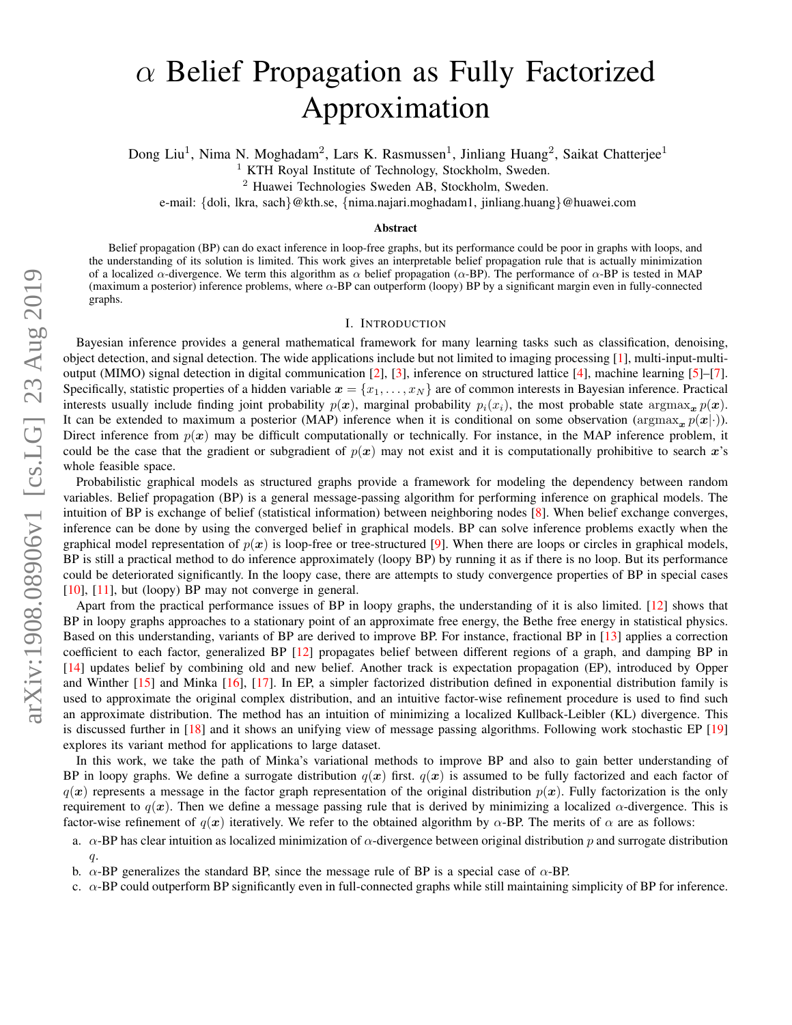# arXiv:1908.08906v1 [cs.LG] 23 Aug 2019 arXiv:1908.08906v1 [cs.LG] 23 Aug 2019

# $\alpha$  Belief Propagation as Fully Factorized Approximation

Dong Liu<sup>1</sup>, Nima N. Moghadam<sup>2</sup>, Lars K. Rasmussen<sup>1</sup>, Jinliang Huang<sup>2</sup>, Saikat Chatterjee<sup>1</sup>

<sup>1</sup> KTH Royal Institute of Technology, Stockholm, Sweden.

<sup>2</sup> Huawei Technologies Sweden AB, Stockholm, Sweden.

e-mail: {doli, lkra, sach}@kth.se, {nima.najari.moghadam1, jinliang.huang}@huawei.com

# Abstract

Belief propagation (BP) can do exact inference in loop-free graphs, but its performance could be poor in graphs with loops, and the understanding of its solution is limited. This work gives an interpretable belief propagation rule that is actually minimization of a localized  $\alpha$ -divergence. We term this algorithm as  $\alpha$  belief propagation ( $\alpha$ -BP). The performance of  $\alpha$ -BP is tested in MAP (maximum a posterior) inference problems, where  $\alpha$ -BP can outperform (loopy) BP by a significant margin even in fully-connected graphs.

# I. INTRODUCTION

<span id="page-0-0"></span>Bayesian inference provides a general mathematical framework for many learning tasks such as classification, denoising, object detection, and signal detection. The wide applications include but not limited to imaging processing [\[1\]](#page-5-0), multi-input-multioutput (MIMO) signal detection in digital communication [\[2\]](#page-5-1), [\[3\]](#page-5-2), inference on structured lattice [\[4\]](#page-5-3), machine learning [\[5\]](#page-5-4)–[\[7\]](#page-5-5). Specifically, statistic properties of a hidden variable  $x = \{x_1, \ldots, x_N\}$  are of common interests in Bayesian inference. Practical interests usually include finding joint probability  $p(x)$ , marginal probability  $p_i(x_i)$ , the most probable state argmax<sub>x</sub>  $p(x)$ . It can be extended to maximum a posterior (MAP) inference when it is conditional on some observation (argmax<sub>x</sub>  $p(x|\cdot)$ ). Direct inference from  $p(x)$  may be difficult computationally or technically. For instance, in the MAP inference problem, it could be the case that the gradient or subgradient of  $p(x)$  may not exist and it is computationally prohibitive to search x's whole feasible space.

Probabilistic graphical models as structured graphs provide a framework for modeling the dependency between random variables. Belief propagation (BP) is a general message-passing algorithm for performing inference on graphical models. The intuition of BP is exchange of belief (statistical information) between neighboring nodes [\[8\]](#page-5-6). When belief exchange converges, inference can be done by using the converged belief in graphical models. BP can solve inference problems exactly when the graphical model representation of  $p(x)$  is loop-free or tree-structured [\[9\]](#page-5-7). When there are loops or circles in graphical models, BP is still a practical method to do inference approximately (loopy BP) by running it as if there is no loop. But its performance could be deteriorated significantly. In the loopy case, there are attempts to study convergence properties of BP in special cases [\[10\]](#page-5-8), [\[11\]](#page-5-9), but (loopy) BP may not converge in general.

Apart from the practical performance issues of BP in loopy graphs, the understanding of it is also limited. [\[12\]](#page-5-10) shows that BP in loopy graphs approaches to a stationary point of an approximate free energy, the Bethe free energy in statistical physics. Based on this understanding, variants of BP are derived to improve BP. For instance, fractional BP in [\[13\]](#page-5-11) applies a correction coefficient to each factor, generalized BP [\[12\]](#page-5-10) propagates belief between different regions of a graph, and damping BP in [\[14\]](#page-5-12) updates belief by combining old and new belief. Another track is expectation propagation (EP), introduced by Opper and Winther [\[15\]](#page-5-13) and Minka [\[16\]](#page-5-14), [\[17\]](#page-5-15). In EP, a simpler factorized distribution defined in exponential distribution family is used to approximate the original complex distribution, and an intuitive factor-wise refinement procedure is used to find such an approximate distribution. The method has an intuition of minimizing a localized Kullback-Leibler (KL) divergence. This is discussed further in [\[18\]](#page-5-16) and it shows an unifying view of message passing algorithms. Following work stochastic EP [\[19\]](#page-5-17) explores its variant method for applications to large dataset.

In this work, we take the path of Minka's variational methods to improve BP and also to gain better understanding of BP in loopy graphs. We define a surrogate distribution  $q(x)$  first.  $q(x)$  is assumed to be fully factorized and each factor of  $q(x)$  represents a message in the factor graph representation of the original distribution  $p(x)$ . Fully factorization is the only requirement to  $q(x)$ . Then we define a message passing rule that is derived by minimizing a localized  $\alpha$ -divergence. This is factor-wise refinement of  $q(x)$  iteratively. We refer to the obtained algorithm by  $\alpha$ -BP. The merits of  $\alpha$  are as follows:

c.  $\alpha$ -BP could outperform BP significantly even in full-connected graphs while still maintaining simplicity of BP for inference.

a.  $\alpha$ -BP has clear intuition as localized minimization of  $\alpha$ -divergence between original distribution p and surrogate distribution q.

b.  $\alpha$ -BP generalizes the standard BP, since the message rule of BP is a special case of  $\alpha$ -BP.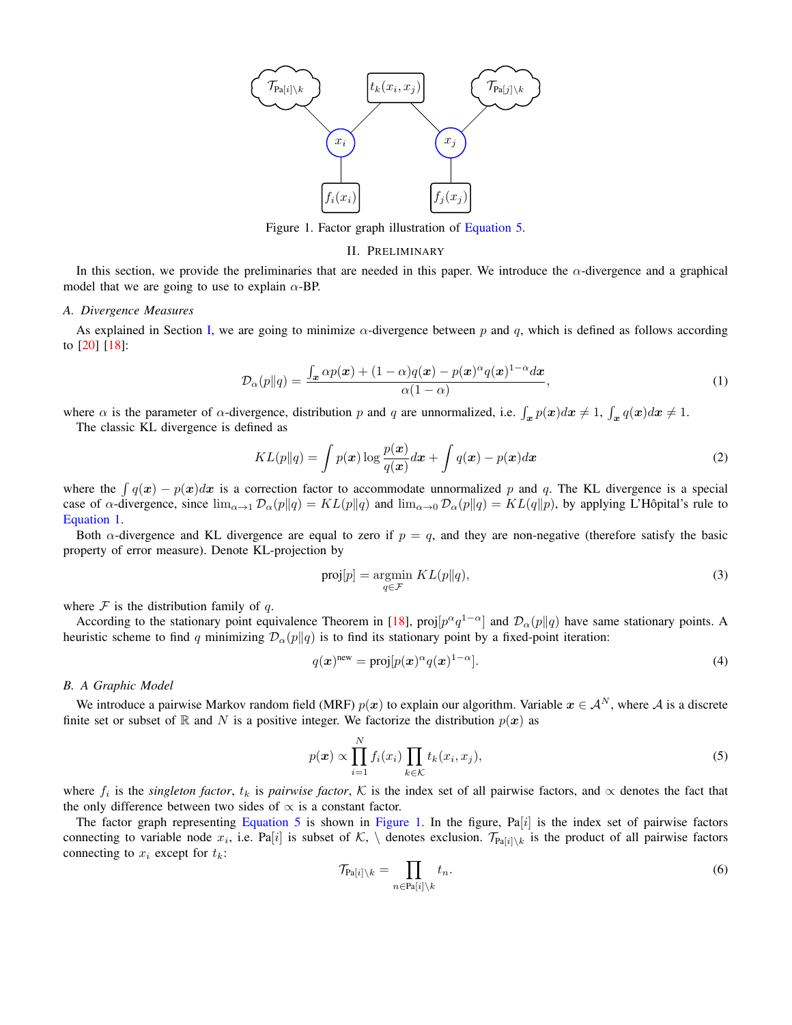<span id="page-1-2"></span>

Figure 1. Factor graph illustration of [Equation 5.](#page-1-0)

#### II. PRELIMINARY

<span id="page-1-4"></span>In this section, we provide the preliminaries that are needed in this paper. We introduce the  $\alpha$ -divergence and a graphical model that we are going to use to explain  $\alpha$ -BP.

#### *A. Divergence Measures*

As explained in Section [I,](#page-0-0) we are going to minimize  $\alpha$ -divergence between p and q, which is defined as follows according to [\[20\]](#page-6-0) [\[18\]](#page-5-16):

<span id="page-1-1"></span>
$$
\mathcal{D}_{\alpha}(p||q) = \frac{\int_{\mathbf{x}} \alpha p(\mathbf{x}) + (1 - \alpha)q(\mathbf{x}) - p(\mathbf{x})^{\alpha} q(\mathbf{x})^{1 - \alpha} d\mathbf{x}}{\alpha(1 - \alpha)},
$$
\n(1)

where  $\alpha$  is the parameter of  $\alpha$ -divergence, distribution p and q are unnormalized, i.e.  $\int_x p(x)dx \neq 1$ ,  $\int_x q(x)dx \neq 1$ . The classic KL divergence is defined as

$$
KL(p||q) = \int p(\boldsymbol{x}) \log \frac{p(\boldsymbol{x})}{q(\boldsymbol{x})} d\boldsymbol{x} + \int q(\boldsymbol{x}) - p(\boldsymbol{x}) d\boldsymbol{x}
$$
\n(2)

where the  $\int q(x) - p(x)dx$  is a correction factor to accommodate unnormalized p and q. The KL divergence is a special case of  $\alpha$ -divergence, since  $\lim_{\alpha\to 1} \mathcal{D}_{\alpha}(p||q) = KL(p||q)$  and  $\lim_{\alpha\to 0} \mathcal{D}_{\alpha}(p||q) = KL(q||p)$ , by applying L'Hôpital's rule to [Equation 1.](#page-1-1)

Both  $\alpha$ -divergence and KL divergence are equal to zero if  $p = q$ , and they are non-negative (therefore satisfy the basic property of error measure). Denote KL-projection by

$$
\text{proj}[p] = \underset{q \in \mathcal{F}}{\text{argmin}} \ KL(p||q),\tag{3}
$$

where  $\mathcal F$  is the distribution family of q.

According to the stationary point equivalence Theorem in [\[18\]](#page-5-16), proj $[p^{\alpha}q^{1-\alpha}]$  and  $\mathcal{D}_{\alpha}(p||q)$  have same stationary points. A heuristic scheme to find q minimizing  $\mathcal{D}_{\alpha}(p||q)$  is to find its stationary point by a fixed-point iteration:

<span id="page-1-3"></span>
$$
q(x)^{\text{new}} = \text{proj}[p(x)^{\alpha} q(x)^{1-\alpha}]. \tag{4}
$$

#### *B. A Graphic Model*

We introduce a pairwise Markov random field (MRF)  $p(x)$  to explain our algorithm. Variable  $x \in A^N$ , where A is a discrete finite set or subset of R and N is a positive integer. We factorize the distribution  $p(x)$  as

<span id="page-1-0"></span>
$$
p(\boldsymbol{x}) \propto \prod_{i=1}^{N} f_i(x_i) \prod_{k \in \mathcal{K}} t_k(x_i, x_j), \tag{5}
$$

where  $f_i$  is the *singleton factor*,  $t_k$  is *pairwise factor*,  $K$  is the index set of all pairwise factors, and  $\propto$  denotes the fact that the only difference between two sides of  $\propto$  is a constant factor.

The factor graph representing [Equation 5](#page-1-0) is shown in [Figure 1.](#page-1-2) In the figure, Pa[i] is the index set of pairwise factors connecting to variable node  $x_i$ , i.e. Pa[i] is subset of  $K$ , \ denotes exclusion.  $\mathcal{T}_{Pa[i] \setminus k}$  is the product of all pairwise factors connecting to  $x_i$  except for  $t_k$ :

$$
\mathcal{T}_{\text{Pa}[i]\setminus k} = \prod_{n \in \text{Pa}[i]\setminus k} t_n. \tag{6}
$$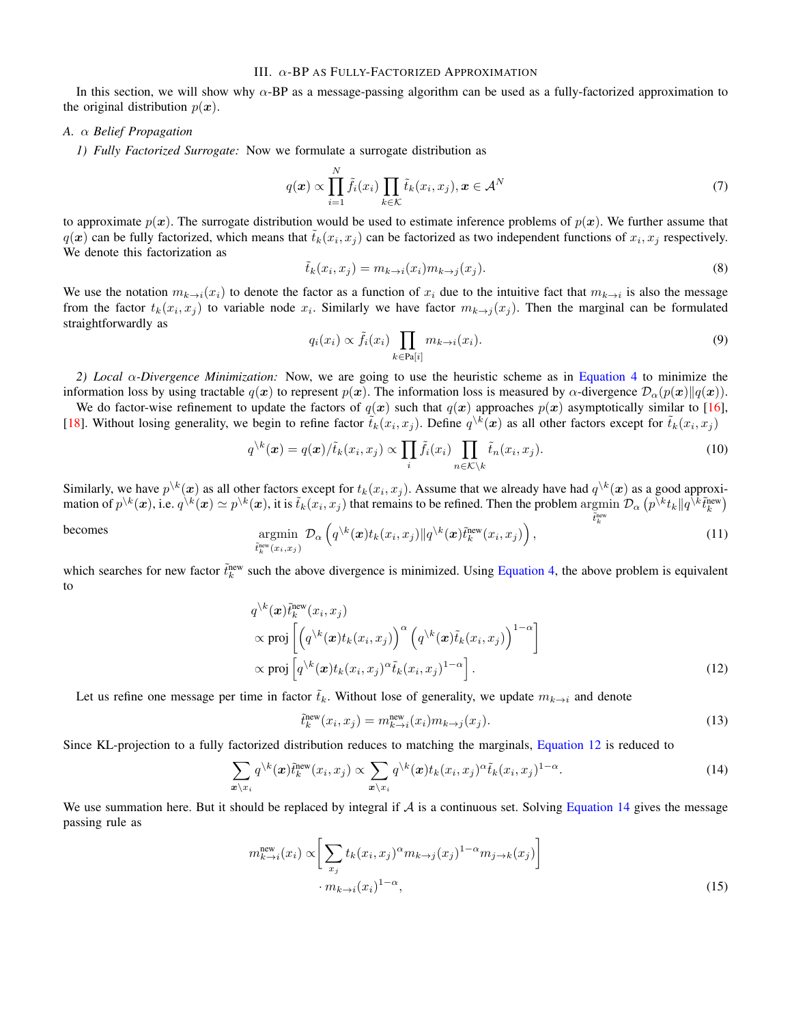# III. α-BP AS FULLY-FACTORIZED APPROXIMATION

In this section, we will show why  $\alpha$ -BP as a message-passing algorithm can be used as a fully-factorized approximation to the original distribution  $p(x)$ .

## *A.* α *Belief Propagation*

*1) Fully Factorized Surrogate:* Now we formulate a surrogate distribution as

$$
q(\boldsymbol{x}) \propto \prod_{i=1}^{N} \tilde{f}_i(x_i) \prod_{k \in \mathcal{K}} \tilde{t}_k(x_i, x_j), \boldsymbol{x} \in \mathcal{A}^N
$$
\n(7)

to approximate  $p(x)$ . The surrogate distribution would be used to estimate inference problems of  $p(x)$ . We further assume that  $q(x)$  can be fully factorized, which means that  $\tilde{t}_k(x_i, x_j)$  can be factorized as two independent functions of  $x_i, x_j$  respectively. We denote this factorization as

$$
\tilde{t}_k(x_i, x_j) = m_{k \to i}(x_i) m_{k \to j}(x_j). \tag{8}
$$

We use the notation  $m_{k\to i}(x_i)$  to denote the factor as a function of  $x_i$  due to the intuitive fact that  $m_{k\to i}$  is also the message from the factor  $t_k(x_i, x_j)$  to variable node  $x_i$ . Similarly we have factor  $m_{k\to j}(x_j)$ . Then the marginal can be formulated straightforwardly as

$$
q_i(x_i) \propto \tilde{f}_i(x_i) \prod_{k \in \text{Pa}[i]} m_{k \to i}(x_i). \tag{9}
$$

*2) Local* α*-Divergence Minimization:* Now, we are going to use the heuristic scheme as in [Equation 4](#page-1-3) to minimize the information loss by using tractable  $q(x)$  to represent  $p(x)$ . The information loss is measured by  $\alpha$ -divergence  $\mathcal{D}_{\alpha}(p(x)||q(x))$ .

We do factor-wise refinement to update the factors of  $q(x)$  such that  $q(x)$  approaches  $p(x)$  asymptotically similar to [\[16\]](#page-5-14), [\[18\]](#page-5-16). Without losing generality, we begin to refine factor  $\tilde{t}_k(x_i, x_j)$ . Define  $q^k(x)$  as all other factors except for  $\tilde{t}_k(x_i, x_j)$ 

$$
q^{\setminus k}(\boldsymbol{x}) = q(\boldsymbol{x}) / \tilde{t}_k(x_i, x_j) \propto \prod_i \tilde{f}_i(x_i) \prod_{n \in \mathcal{K} \setminus k} \tilde{t}_n(x_i, x_j).
$$
\n(10)

Similarly, we have  $p^{\backslash k}(\bm{x})$  as all other factors except for  $t_k(x_i,x_j)$ . Assume that we already have had  $q^{\backslash k}(\bm{x})$  as a good approximation of  $p^{k}(x)$ , i.e.  $q^{k}(x) \simeq p^{k}(x)$ , it is  $\tilde{t}_k(x_i, x_j)$  that remains to be refined. Then the problem argmin  $\tilde{t}_k^{\text{new}}$  $\mathcal{D}_{\alpha}\left(p^{\bar{\backslash} k}t_k \| q^{\bar{\backslash} \bar{k}} \tilde{t}_k^{\text{new}}\right)$ 

becomes argmin  $\tilde{t}_k^{\text{new}}(x_i,x_j)$  $\mathcal{D}_{\alpha}\left(q^{\backslash k}(\boldsymbol{x})t_{k}(x_{i},x_{j})\|q^{\backslash k}(\boldsymbol{x})\tilde{t}_{k}^{\text{new}}(x_{i},x_{j})\right)$  $(11)$ 

which searches for new factor  $\tilde{t}_k^{\text{new}}$  such the above divergence is minimized. Using [Equation 4,](#page-1-3) the above problem is equivalent to

$$
q^{\lambda k}(\boldsymbol{x})\tilde{t}_k^{\text{new}}(x_i, x_j)
$$
  
 
$$
\propto \text{proj}\left[\left(q^{\lambda k}(\boldsymbol{x})t_k(x_i, x_j)\right)^{\alpha} \left(q^{\lambda k}(\boldsymbol{x})\tilde{t}_k(x_i, x_j)\right)^{1-\alpha}\right]
$$
  
 
$$
\propto \text{proj}\left[q^{\lambda k}(\boldsymbol{x})t_k(x_i, x_j)^{\alpha} \tilde{t}_k(x_i, x_j)^{1-\alpha}\right].
$$
 (12)

Let us refine one message per time in factor  $\tilde{t}_k$ . Without lose of generality, we update  $m_{k\to i}$  and denote

<span id="page-2-2"></span><span id="page-2-0"></span>
$$
\tilde{t}_k^{\text{new}}(x_i, x_j) = m_{k \to i}^{\text{new}}(x_i) m_{k \to j}(x_j). \tag{13}
$$

Since KL-projection to a fully factorized distribution reduces to matching the marginals, [Equation 12](#page-2-0) is reduced to

<span id="page-2-1"></span>
$$
\sum_{\mathbf{x}\backslash x_i} q^{\backslash k}(\mathbf{x}) \tilde{t}_k^{\text{new}}(x_i, x_j) \propto \sum_{\mathbf{x}\backslash x_i} q^{\backslash k}(\mathbf{x}) t_k(x_i, x_j)^{\alpha} \tilde{t}_k(x_i, x_j)^{1-\alpha}.
$$
\n(14)

We use summation here. But it should be replaced by integral if  $A$  is a continuous set. Solving [Equation 14](#page-2-1) gives the message passing rule as

$$
m_{k \to i}^{\text{new}}(x_i) \propto \left[ \sum_{x_j} t_k (x_i, x_j)^{\alpha} m_{k \to j} (x_j)^{1-\alpha} m_{j \to k} (x_j) \right]
$$
  
 
$$
\cdot m_{k \to i} (x_i)^{1-\alpha}, \tag{15}
$$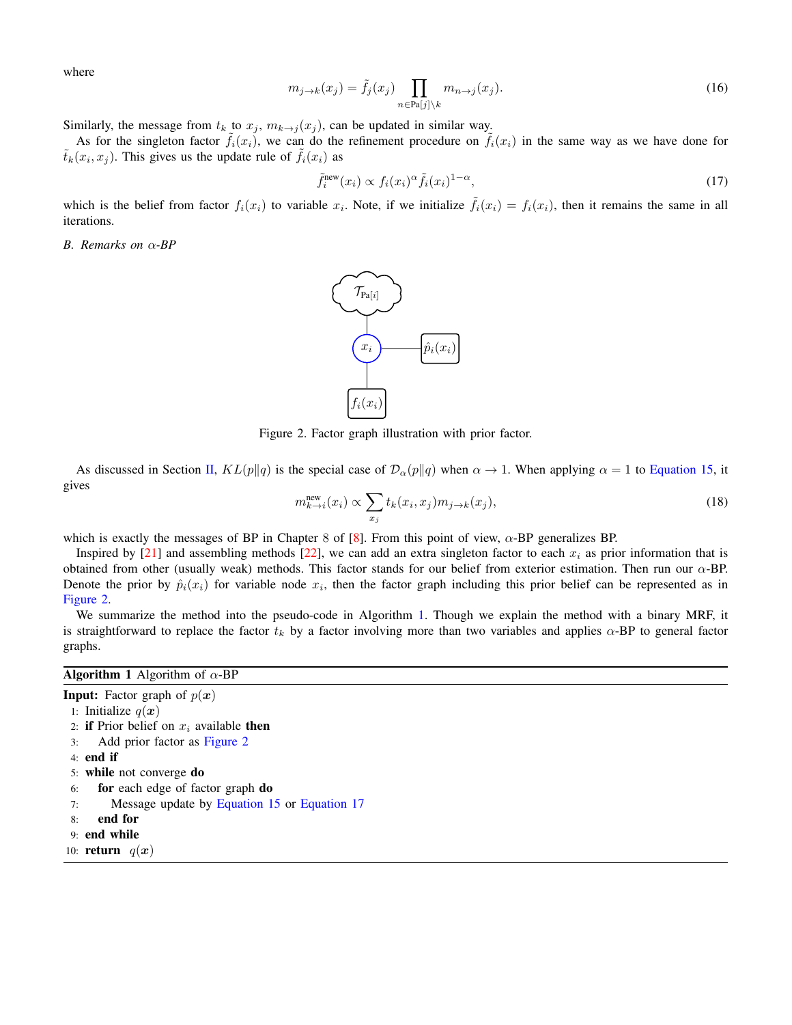where

$$
m_{j \to k}(x_j) = \tilde{f}_j(x_j) \prod_{n \in \text{Pa}[j] \setminus k} m_{n \to j}(x_j). \tag{16}
$$

Similarly, the message from  $t_k$  to  $x_j$ ,  $m_{k\rightarrow j}(x_j)$ , can be updated in similar way.

As for the singleton factor  $f_i(x_i)$ , we can do the refinement procedure on  $\tilde{f}_i(x_i)$  in the same way as we have done for  $\tilde{t}_k(x_i, x_j)$ . This gives us the update rule of  $\tilde{f}_i(x_i)$  as

<span id="page-3-2"></span>
$$
\tilde{f}_i^{\text{new}}(x_i) \propto f_i(x_i)^{\alpha} \tilde{f}_i(x_i)^{1-\alpha},\tag{17}
$$

which is the belief from factor  $f_i(x_i)$  to variable  $x_i$ . Note, if we initialize  $\tilde{f}_i(x_i) = f_i(x_i)$ , then it remains the same in all iterations.

<span id="page-3-3"></span><span id="page-3-0"></span>*B. Remarks on* α*-BP*



Figure 2. Factor graph illustration with prior factor.

As discussed in Section [II,](#page-1-4)  $KL(p||q)$  is the special case of  $\mathcal{D}_{\alpha}(p||q)$  when  $\alpha \to 1$ . When applying  $\alpha = 1$  to [Equation 15,](#page-2-2) it gives

$$
m_{k \to i}^{\text{new}}(x_i) \propto \sum_{x_j} t_k(x_i, x_j) m_{j \to k}(x_j), \tag{18}
$$

which is exactly the messages of BP in Chapter 8 of [\[8\]](#page-5-6). From this point of view,  $\alpha$ -BP generalizes BP.

Inspired by [\[21\]](#page-6-1) and assembling methods [\[22\]](#page-6-2), we can add an extra singleton factor to each  $x_i$  as prior information that is obtained from other (usually weak) methods. This factor stands for our belief from exterior estimation. Then run our  $\alpha$ -BP. Denote the prior by  $\hat{p}_i(x_i)$  for variable node  $x_i$ , then the factor graph including this prior belief can be represented as in [Figure 2.](#page-3-0)

We summarize the method into the pseudo-code in Algorithm [1.](#page-3-1) Though we explain the method with a binary MRF, it is straightforward to replace the factor  $t_k$  by a factor involving more than two variables and applies  $\alpha$ -BP to general factor graphs.

# <span id="page-3-1"></span>**Algorithm 1** Algorithm of  $\alpha$ -BP

**Input:** Factor graph of  $p(x)$ 1: Initialize  $q(x)$ 2: if Prior belief on  $x_i$  available then 3: Add prior factor as [Figure 2](#page-3-0) 4: end if 5: while not converge do 6: for each edge of factor graph do 7: Message update by [Equation 15](#page-2-2) or [Equation 17](#page-3-2) 8: end for 9: end while 10: **return**  $q(x)$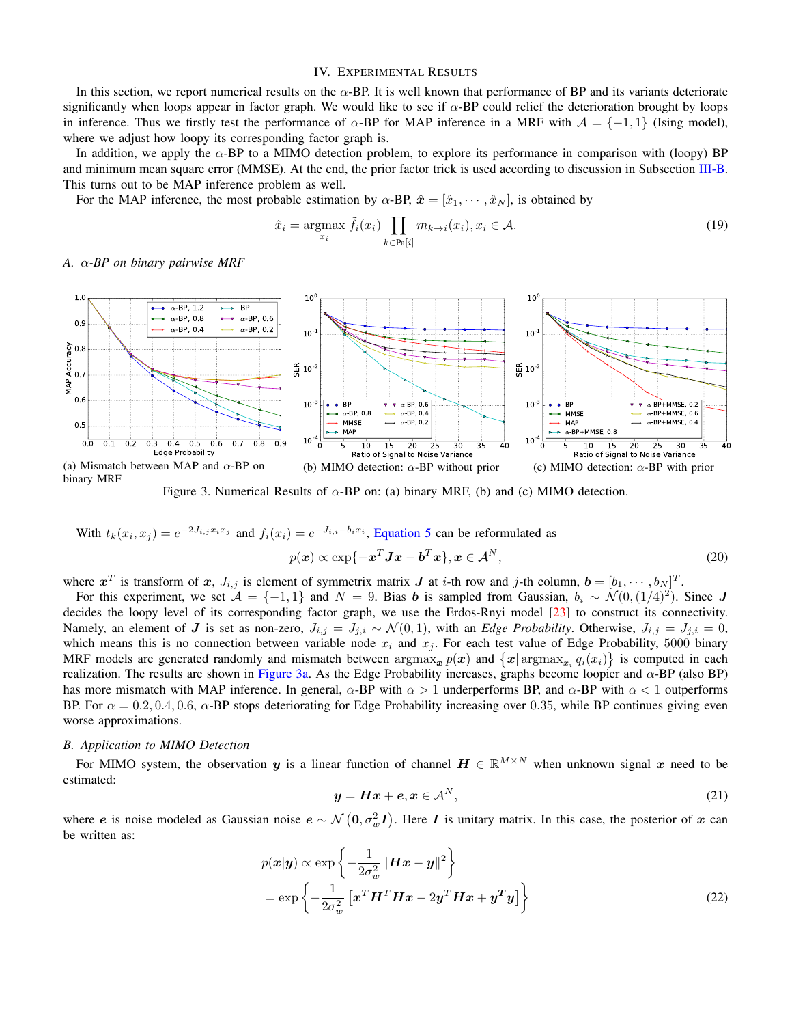# IV. EXPERIMENTAL RESULTS

In this section, we report numerical results on the  $\alpha$ -BP. It is well known that performance of BP and its variants deteriorate significantly when loops appear in factor graph. We would like to see if  $\alpha$ -BP could relief the deterioration brought by loops in inference. Thus we firstly test the performance of  $\alpha$ -BP for MAP inference in a MRF with  $\mathcal{A} = \{-1, 1\}$  (Ising model), where we adjust how loopy its corresponding factor graph is.

In addition, we apply the  $\alpha$ -BP to a MIMO detection problem, to explore its performance in comparison with (loopy) BP and minimum mean square error (MMSE). At the end, the prior factor trick is used according to discussion in Subsection [III-B.](#page-3-3) This turns out to be MAP inference problem as well.

For the MAP inference, the most probable estimation by  $\alpha$ -BP,  $\hat{x} = [\hat{x}_1, \dots, \hat{x}_N]$ , is obtained by

$$
\hat{x}_i = \underset{x_i}{\text{argmax}} \tilde{f}_i(x_i) \prod_{k \in \text{Pa}[i]} m_{k \to i}(x_i), x_i \in \mathcal{A}.\tag{19}
$$

*A.* α*-BP on binary pairwise MRF*

<span id="page-4-0"></span>

Figure 3. Numerical Results of  $\alpha$ -BP on: (a) binary MRF, (b) and (c) MIMO detection.

With 
$$
t_k(x_i, x_j) = e^{-2J_{i,j}x_ix_j}
$$
 and  $f_i(x_i) = e^{-J_{i,i} - b_ix_i}$ , Equation 5 can be reformulated as  
\n
$$
p(x) \propto \exp\{-x^T Jx - b^T x\}, x \in A^N,
$$
\n(20)

where  $x^T$  is transform of x,  $J_{i,j}$  is element of symmetrix matrix  $J$  at *i*-th row and *j*-th column,  $\mathbf{b} = [b_1, \cdots, b_N]^T$ .

For this experiment, we set  $\mathcal{A} = \{-1, 1\}$  and  $N = 9$ . Bias b is sampled from Gaussian,  $b_i \sim \mathcal{N}(0, (1/4)^2)$ . Since J decides the loopy level of its corresponding factor graph, we use the Erdos-Rnyi model [\[23\]](#page-6-3) to construct its connectivity. Namely, an element of J is set as non-zero,  $J_{i,j} = J_{j,i} \sim \mathcal{N}(0, 1)$ , with an *Edge Probability*. Otherwise,  $J_{i,j} = J_{j,i} = 0$ , which means this is no connection between variable node  $x_i$  and  $x_j$ . For each test value of Edge Probability, 5000 binary MRF models are generated randomly and mismatch between  $\argmax_{x} p(x)$  and  $\{|x| \argmax_{x_i} q_i(x_i)\}$  is computed in each realization. The results are shown in [Figure 3a.](#page-4-0) As the Edge Probability increases, graphs become loopier and  $α$ -BP (also BP) has more mismatch with MAP inference. In general,  $\alpha$ -BP with  $\alpha > 1$  underperforms BP, and  $\alpha$ -BP with  $\alpha < 1$  outperforms BP. For  $\alpha = 0.2, 0.4, 0.6, \alpha$ -BP stops deteriorating for Edge Probability increasing over 0.35, while BP continues giving even worse approximations.

## *B. Application to MIMO Detection*

For MIMO system, the observation y is a linear function of channel  $H \in \mathbb{R}^{M \times N}$  when unknown signal x need to be estimated:

<span id="page-4-1"></span>
$$
y = Hx + e, x \in A^N,
$$
\n(21)

where e is noise modeled as Gaussian noise  $e \sim \mathcal{N}\left(0, \sigma_w^2 I\right)$ . Here I is unitary matrix. In this case, the posterior of x can be written as:

$$
p(\mathbf{x}|\mathbf{y}) \propto \exp\left\{-\frac{1}{2\sigma_w^2} \|\mathbf{H}\mathbf{x} - \mathbf{y}\|^2\right\}
$$
  
= 
$$
\exp\left\{-\frac{1}{2\sigma_w^2} \left[\mathbf{x}^T \mathbf{H}^T \mathbf{H}\mathbf{x} - 2\mathbf{y}^T \mathbf{H}\mathbf{x} + \mathbf{y}^T \mathbf{y}\right]\right\}
$$
(22)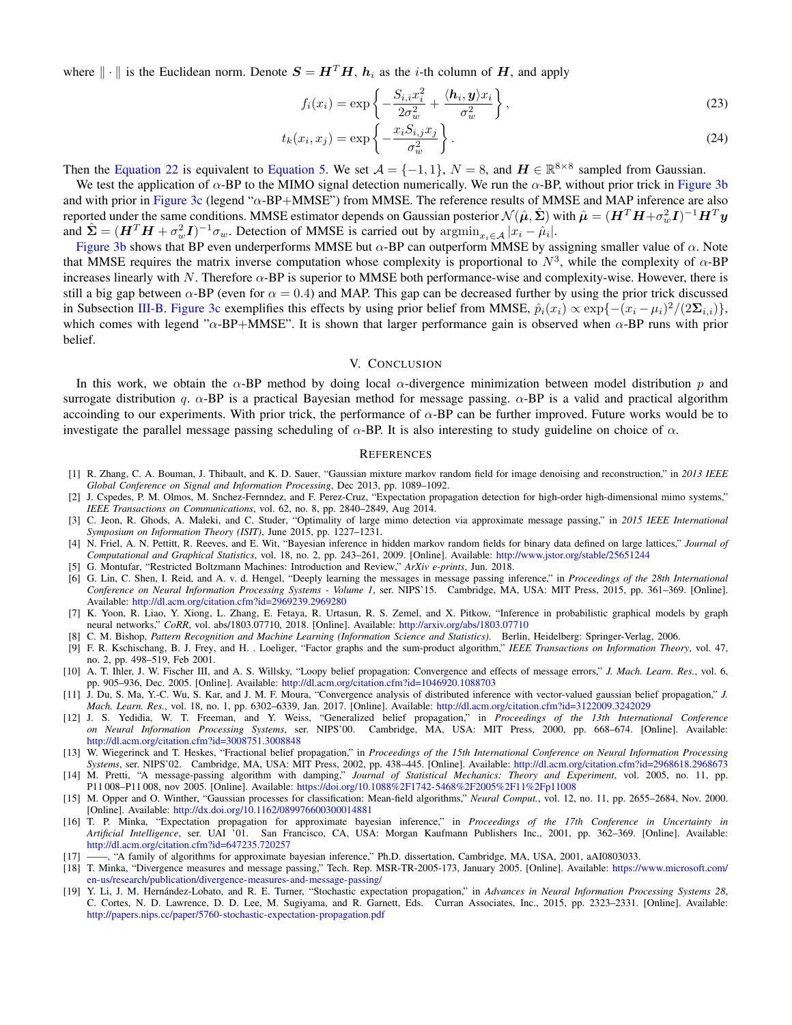where  $\|\cdot\|$  is the Euclidean norm. Denote  $S = H^T H$ ,  $h_i$  as the *i*-th column of H, and apply

$$
f_i(x_i) = \exp\left\{-\frac{S_{i,i}x_i^2}{2\sigma_w^2} + \frac{\langle \mathbf{h}_i, \mathbf{y}\rangle x_i}{\sigma_w^2}\right\},\tag{23}
$$

$$
t_k(x_i, x_j) = \exp\left\{-\frac{x_i S_{i,j} x_j}{\sigma_w^2}\right\}.
$$
\n(24)

Then the [Equation 22](#page-4-1) is equivalent to [Equation 5.](#page-1-0) We set  $A = \{-1, 1\}$ ,  $N = 8$ , and  $H \in \mathbb{R}^{8 \times 8}$  sampled from Gaussian.

We test the application of  $\alpha$ -BP to the MIMO signal detection numerically. We run the  $\alpha$ -BP, without prior trick in [Figure 3b](#page-4-0) and with prior in [Figure 3c](#page-4-0) (legend "α-BP+MMSE") from MMSE. The reference results of MMSE and MAP inference are also reported under the same conditions. MMSE estimator depends on Gaussian posterior  $\mathcal{N}(\hat{\mu}, \hat{\Sigma})$  with  $\hat{\mu} = (\bm{H}^T\bm{H} + \sigma_w^2\bm{I})^{-1}\bm{H}^T\bm{y}$ and  $\hat{\Sigma} = (H^T H + \sigma_w^2 I)^{-1} \sigma_w$ . Detection of MMSE is carried out by  $\operatorname{argmin}_{x_i \in A} |x_i - \hat{\mu}_i|$ .

[Figure 3b](#page-4-0) shows that BP even underperforms MMSE but  $\alpha$ -BP can outperform MMSE by assigning smaller value of  $\alpha$ . Note that MMSE requires the matrix inverse computation whose complexity is proportional to  $N^3$ , while the complexity of  $\alpha$ -BP increases linearly with  $N$ . Therefore  $\alpha$ -BP is superior to MMSE both performance-wise and complexity-wise. However, there is still a big gap between  $\alpha$ -BP (even for  $\alpha = 0.4$ ) and MAP. This gap can be decreased further by using the prior trick discussed in Subsection [III-B.](#page-3-3) [Figure 3c](#page-4-0) exemplifies this effects by using prior belief from MMSE,  $\hat{p}_i(x_i) \propto \exp\{- (x_i - \mu_i)^2 / (2\Sigma_{i,i})\},$ which comes with legend " $\alpha$ -BP+MMSE". It is shown that larger performance gain is observed when  $\alpha$ -BP runs with prior belief.

## V. CONCLUSION

In this work, we obtain the  $\alpha$ -BP method by doing local  $\alpha$ -divergence minimization between model distribution p and surrogate distribution q.  $\alpha$ -BP is a practical Bayesian method for message passing.  $\alpha$ -BP is a valid and practical algorithm accoinding to our experiments. With prior trick, the performance of  $\alpha$ -BP can be further improved. Future works would be to investigate the parallel message passing scheduling of  $\alpha$ -BP. It is also interesting to study guideline on choice of  $\alpha$ .

#### **REFERENCES**

- <span id="page-5-0"></span>[1] R. Zhang, C. A. Bouman, J. Thibault, and K. D. Sauer, "Gaussian mixture markov random field for image denoising and reconstruction," in *2013 IEEE Global Conference on Signal and Information Processing*, Dec 2013, pp. 1089–1092.
- <span id="page-5-1"></span>[2] J. Cspedes, P. M. Olmos, M. Snchez-Fernndez, and F. Perez-Cruz, "Expectation propagation detection for high-order high-dimensional mimo systems," *IEEE Transactions on Communications*, vol. 62, no. 8, pp. 2840–2849, Aug 2014.
- <span id="page-5-2"></span>[3] C. Jeon, R. Ghods, A. Maleki, and C. Studer, "Optimality of large mimo detection via approximate message passing," in *2015 IEEE International Symposium on Information Theory (ISIT)*, June 2015, pp. 1227–1231.
- <span id="page-5-3"></span>[4] N. Friel, A. N. Pettitt, R. Reeves, and E. Wit, "Bayesian inference in hidden markov random fields for binary data defined on large lattices," *Journal of Computational and Graphical Statistics*, vol. 18, no. 2, pp. 243–261, 2009. [Online]. Available: <http://www.jstor.org/stable/25651244>
- <span id="page-5-4"></span>[5] G. Montufar, "Restricted Boltzmann Machines: Introduction and Review," *ArXiv e-prints*, Jun. 2018.
- [6] G. Lin, C. Shen, I. Reid, and A. v. d. Hengel, "Deeply learning the messages in message passing inference," in *Proceedings of the 28th International Conference on Neural Information Processing Systems - Volume 1*, ser. NIPS'15. Cambridge, MA, USA: MIT Press, 2015, pp. 361–369. [Online]. Available: <http://dl.acm.org/citation.cfm?id=2969239.2969280>
- <span id="page-5-5"></span>[7] K. Yoon, R. Liao, Y. Xiong, L. Zhang, E. Fetaya, R. Urtasun, R. S. Zemel, and X. Pitkow, "Inference in probabilistic graphical models by graph neural networks," *CoRR*, vol. abs/1803.07710, 2018. [Online]. Available: <http://arxiv.org/abs/1803.07710>
- <span id="page-5-6"></span>[8] C. M. Bishop, *Pattern Recognition and Machine Learning (Information Science and Statistics)*. Berlin, Heidelberg: Springer-Verlag, 2006.
- <span id="page-5-7"></span>[9] F. R. Kschischang, B. J. Frey, and H. . Loeliger, "Factor graphs and the sum-product algorithm," *IEEE Transactions on Information Theory*, vol. 47, no. 2, pp. 498–519, Feb 2001.
- <span id="page-5-8"></span>[10] A. T. Ihler, J. W. Fischer III, and A. S. Willsky, "Loopy belief propagation: Convergence and effects of message errors," *J. Mach. Learn. Res.*, vol. 6, pp. 905–936, Dec. 2005. [Online]. Available: <http://dl.acm.org/citation.cfm?id=1046920.1088703>
- <span id="page-5-9"></span>[11] J. Du, S. Ma, Y.-C. Wu, S. Kar, and J. M. F. Moura, "Convergence analysis of distributed inference with vector-valued gaussian belief propagation," *J. Mach. Learn. Res.*, vol. 18, no. 1, pp. 6302–6339, Jan. 2017. [Online]. Available: <http://dl.acm.org/citation.cfm?id=3122009.3242029>
- <span id="page-5-10"></span>[12] J. S. Yedidia, W. T. Freeman, and Y. Weiss, "Generalized belief propagation," in *Proceedings of the 13th International Conference on Neural Information Processing Systems*, ser. NIPS'00. Cambridge, MA, USA: MIT Press, 2000, pp. 668–674. [Online]. Available: <http://dl.acm.org/citation.cfm?id=3008751.3008848>
- <span id="page-5-11"></span>[13] W. Wiegerinck and T. Heskes, "Fractional belief propagation," in *Proceedings of the 15th International Conference on Neural Information Processing Systems*, ser. NIPS'02. Cambridge, MA, USA: MIT Press, 2002, pp. 438–445. [Online]. Available: <http://dl.acm.org/citation.cfm?id=2968618.2968673>
- <span id="page-5-12"></span>[14] M. Pretti, "A message-passing algorithm with damping," *Journal of Statistical Mechanics: Theory and Experiment*, vol. 2005, no. 11, pp. P11 008–P11 008, nov 2005. [Online]. Available: <https://doi.org/10.1088%2F1742-5468%2F2005%2F11%2Fp11008>
- <span id="page-5-13"></span>[15] M. Opper and O. Winther, "Gaussian processes for classification: Mean-field algorithms," *Neural Comput.*, vol. 12, no. 11, pp. 2655–2684, Nov. 2000. [Online]. Available: <http://dx.doi.org/10.1162/089976600300014881>
- <span id="page-5-14"></span>[16] T. P. Minka, "Expectation propagation for approximate bayesian inference," in *Proceedings of the 17th Conference in Uncertainty in Artificial Intelligence*, ser. UAI '01. San Francisco, CA, USA: Morgan Kaufmann Publishers Inc., 2001, pp. 362–369. [Online]. Available: <http://dl.acm.org/citation.cfm?id=647235.720257>
- <span id="page-5-15"></span>[17] ——, "A family of algorithms for approximate bayesian inference," Ph.D. dissertation, Cambridge, MA, USA, 2001, aAI0803033.
- <span id="page-5-16"></span>[18] T. Minka, "Divergence measures and message passing," Tech. Rep. MSR-TR-2005-173, January 2005. [Online]. Available: [https://www.microsoft.com/](https://www.microsoft.com/en-us/research/publication/divergence-measures-and-message-passing/) [en-us/research/publication/divergence-measures-and-message-passing/](https://www.microsoft.com/en-us/research/publication/divergence-measures-and-message-passing/)
- <span id="page-5-17"></span>[19] Y. Li, J. M. Hernández-Lobato, and R. E. Turner, "Stochastic expectation propagation," in Advances in Neural Information Processing Systems 28, C. Cortes, N. D. Lawrence, D. D. Lee, M. Sugiyama, and R. Garnett, Eds. Curran Associates, Inc., 2015, pp. 2323–2331. [Online]. Available: <http://papers.nips.cc/paper/5760-stochastic-expectation-propagation.pdf>